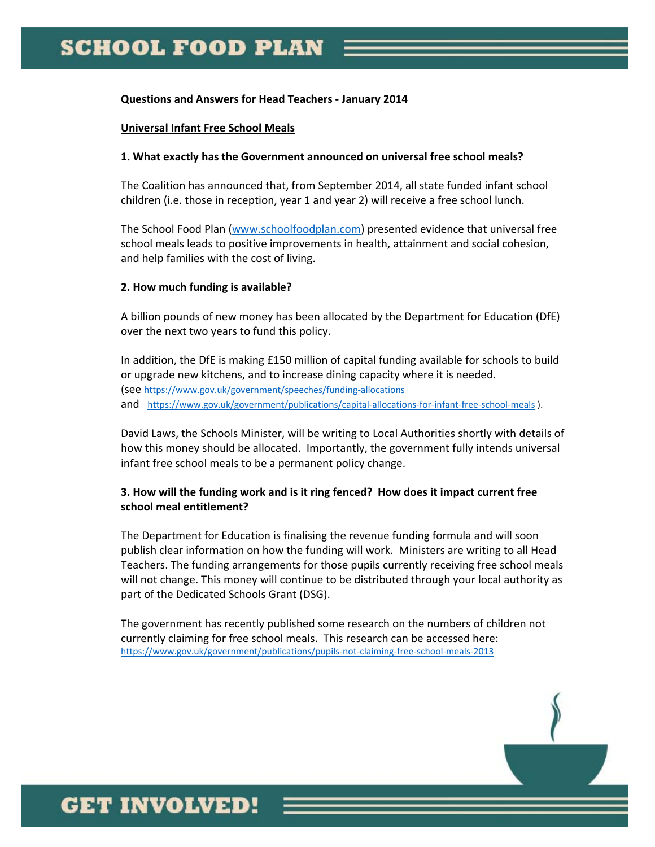#### **Questions and Answers for Head Teachers ‐ January 2014**

#### **Universal Infant Free School Meals**

#### **1. What exactly has the Government announced on universal free school meals?**

The Coalition has announced that, from September 2014, all state funded infant school children (i.e. those in reception, year 1 and year 2) will receive a free school lunch.

The School Food Plan (www.schoolfoodplan.com) presented evidence that universal free school meals leads to positive improvements in health, attainment and social cohesion, and help families with the cost of living.

### **2. How much funding is available?**

A billion pounds of new money has been allocated by the Department for Education (DfE) over the next two years to fund this policy.

In addition, the DfE is making £150 million of capital funding available for schools to build or upgrade new kitchens, and to increase dining capacity where it is needed. (see https://www.gov.uk/government/speeches/funding‐allocations and https://www.gov.uk/government/publications/capital-allocations-for-infant-free-school-meals ).

David Laws, the Schools Minister, will be writing to Local Authorities shortly with details of how this money should be allocated. Importantly, the government fully intends universal infant free school meals to be a permanent policy change.

### **3. How will the funding work and is it ring fenced? How does it impact current free school meal entitlement?**

The Department for Education is finalising the revenue funding formula and will soon publish clear information on how the funding will work. Ministers are writing to all Head Teachers. The funding arrangements for those pupils currently receiving free school meals will not change. This money will continue to be distributed through your local authority as part of the Dedicated Schools Grant (DSG).

The government has recently published some research on the numbers of children not currently claiming for free school meals. This research can be accessed here: https://www.gov.uk/government/publications/pupils‐not‐claiming‐free‐school‐meals‐2013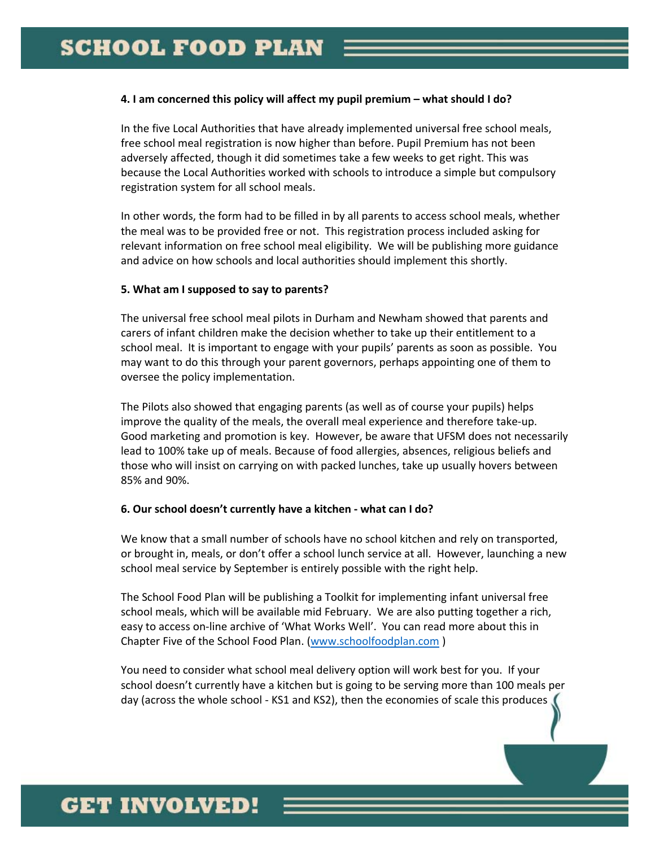#### **4. I am concerned this policy will affect my pupil premium – what should I do?**

In the five Local Authorities that have already implemented universal free school meals, free school meal registration is now higher than before. Pupil Premium has not been adversely affected, though it did sometimes take a few weeks to get right. This was because the Local Authorities worked with schools to introduce a simple but compulsory registration system for all school meals.

In other words, the form had to be filled in by all parents to access school meals, whether the meal was to be provided free or not. This registration process included asking for relevant information on free school meal eligibility. We will be publishing more guidance and advice on how schools and local authorities should implement this shortly.

### **5. What am I supposed to say to parents?**

The universal free school meal pilots in Durham and Newham showed that parents and carers of infant children make the decision whether to take up their entitlement to a school meal. It is important to engage with your pupils' parents as soon as possible. You may want to do this through your parent governors, perhaps appointing one of them to oversee the policy implementation.

The Pilots also showed that engaging parents (as well as of course your pupils) helps improve the quality of the meals, the overall meal experience and therefore take-up. Good marketing and promotion is key. However, be aware that UFSM does not necessarily lead to 100% take up of meals. Because of food allergies, absences, religious beliefs and those who will insist on carrying on with packed lunches, take up usually hovers between 85% and 90%.

### **6. Our school doesn't currently have a kitchen ‐ what can I do?**

We know that a small number of schools have no school kitchen and rely on transported, or brought in, meals, or don't offer a school lunch service at all. However, launching a new school meal service by September is entirely possible with the right help.

The School Food Plan will be publishing a Toolkit for implementing infant universal free school meals, which will be available mid February. We are also putting together a rich, easy to access on‐line archive of 'What Works Well'. You can read more about this in Chapter Five of the School Food Plan. (www.schoolfoodplan.com )

You need to consider what school meal delivery option will work best for you. If your school doesn't currently have a kitchen but is going to be serving more than 100 meals per day (across the whole school ‐ KS1 and KS2), then the economies of scale this produces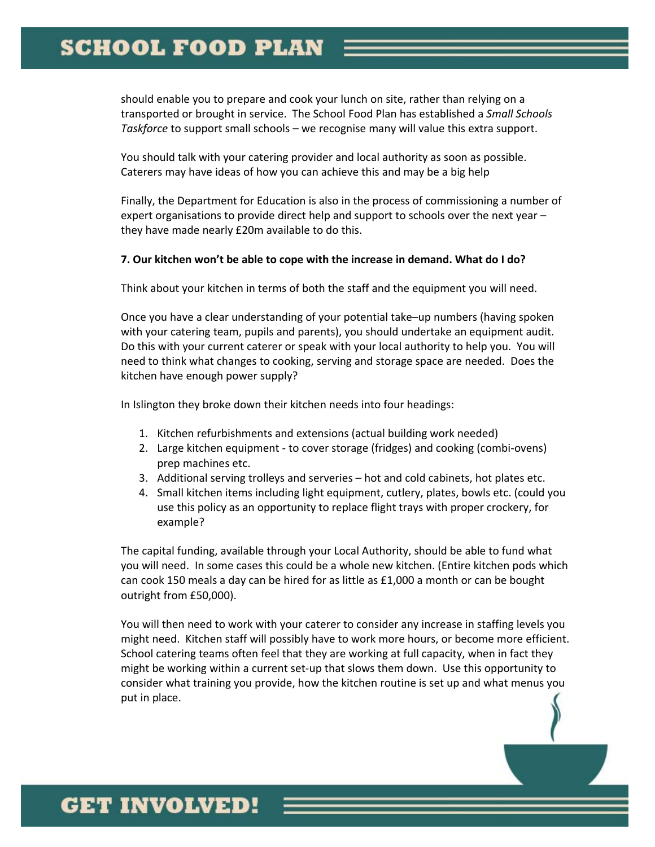should enable you to prepare and cook your lunch on site, rather than relying on a transported or brought in service. The School Food Plan has established a *Small Schools Taskforce* to support small schools – we recognise many will value this extra support.

You should talk with your catering provider and local authority as soon as possible. Caterers may have ideas of how you can achieve this and may be a big help

Finally, the Department for Education is also in the process of commissioning a number of expert organisations to provide direct help and support to schools over the next year – they have made nearly £20m available to do this.

#### **7. Our kitchen won't be able to cope with the increase in demand. What do I do?**

Think about your kitchen in terms of both the staff and the equipment you will need.

Once you have a clear understanding of your potential take–up numbers (having spoken with your catering team, pupils and parents), you should undertake an equipment audit. Do this with your current caterer or speak with your local authority to help you. You will need to think what changes to cooking, serving and storage space are needed. Does the kitchen have enough power supply?

In Islington they broke down their kitchen needs into four headings:

- 1. Kitchen refurbishments and extensions (actual building work needed)
- 2. Large kitchen equipment ‐ to cover storage (fridges) and cooking (combi‐ovens) prep machines etc.
- 3. Additional serving trolleys and serveries hot and cold cabinets, hot plates etc.
- 4. Small kitchen items including light equipment, cutlery, plates, bowls etc. (could you use this policy as an opportunity to replace flight trays with proper crockery, for example?

The capital funding, available through your Local Authority, should be able to fund what you will need. In some cases this could be a whole new kitchen. (Entire kitchen pods which can cook 150 meals a day can be hired for as little as £1,000 a month or can be bought outright from £50,000).

You will then need to work with your caterer to consider any increase in staffing levels you might need. Kitchen staff will possibly have to work more hours, or become more efficient. School catering teams often feel that they are working at full capacity, when in fact they might be working within a current set-up that slows them down. Use this opportunity to consider what training you provide, how the kitchen routine is set up and what menus you put in place.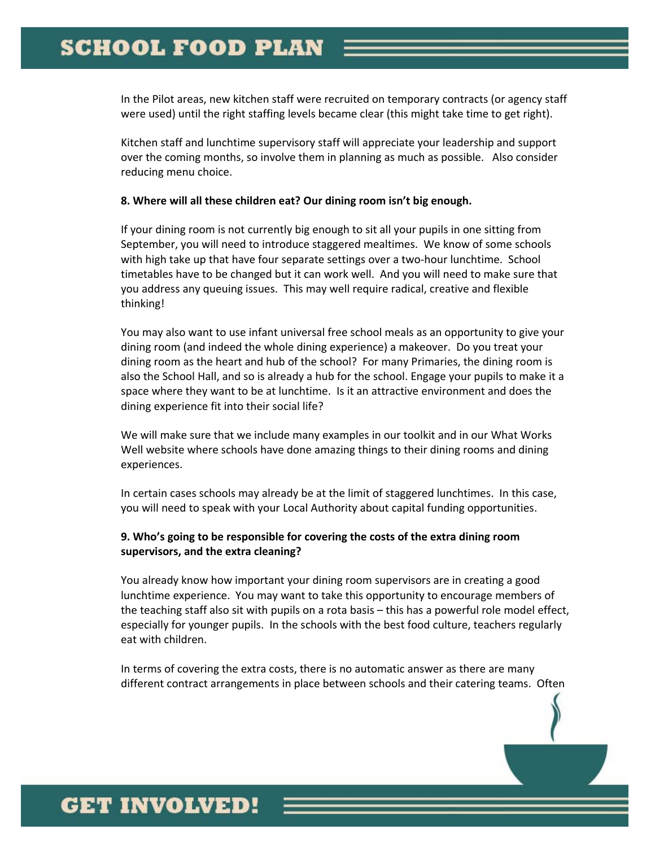In the Pilot areas, new kitchen staff were recruited on temporary contracts (or agency staff were used) until the right staffing levels became clear (this might take time to get right).

Kitchen staff and lunchtime supervisory staff will appreciate your leadership and support over the coming months, so involve them in planning as much as possible. Also consider reducing menu choice.

#### **8. Where will all these children eat? Our dining room isn't big enough.**

If your dining room is not currently big enough to sit all your pupils in one sitting from September, you will need to introduce staggered mealtimes. We know of some schools with high take up that have four separate settings over a two-hour lunchtime. School timetables have to be changed but it can work well. And you will need to make sure that you address any queuing issues. This may well require radical, creative and flexible thinking!

You may also want to use infant universal free school meals as an opportunity to give your dining room (and indeed the whole dining experience) a makeover. Do you treat your dining room as the heart and hub of the school? For many Primaries, the dining room is also the School Hall, and so is already a hub for the school. Engage your pupils to make it a space where they want to be at lunchtime. Is it an attractive environment and does the dining experience fit into their social life?

We will make sure that we include many examples in our toolkit and in our What Works Well website where schools have done amazing things to their dining rooms and dining experiences.

In certain cases schools may already be at the limit of staggered lunchtimes. In this case, you will need to speak with your Local Authority about capital funding opportunities.

### **9. Who's going to be responsible for covering the costs of the extra dining room supervisors, and the extra cleaning?**

You already know how important your dining room supervisors are in creating a good lunchtime experience. You may want to take this opportunity to encourage members of the teaching staff also sit with pupils on a rota basis – this has a powerful role model effect, especially for younger pupils. In the schools with the best food culture, teachers regularly eat with children.

In terms of covering the extra costs, there is no automatic answer as there are many different contract arrangements in place between schools and their catering teams. Often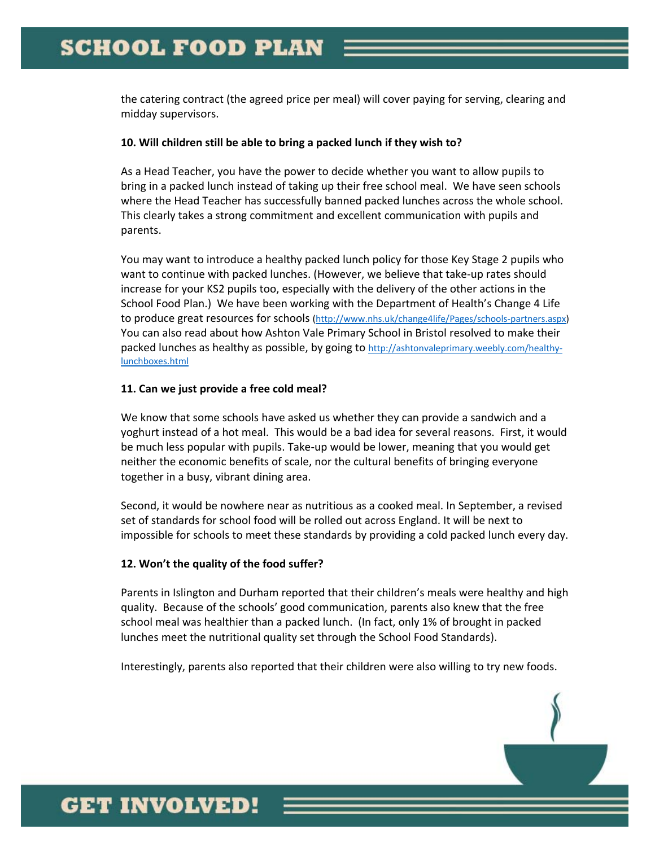the catering contract (the agreed price per meal) will cover paying for serving, clearing and midday supervisors.

#### **10. Will children still be able to bring a packed lunch if they wish to?**

As a Head Teacher, you have the power to decide whether you want to allow pupils to bring in a packed lunch instead of taking up their free school meal. We have seen schools where the Head Teacher has successfully banned packed lunches across the whole school. This clearly takes a strong commitment and excellent communication with pupils and parents.

You may want to introduce a healthy packed lunch policy for those Key Stage 2 pupils who want to continue with packed lunches. (However, we believe that take‐up rates should increase for your KS2 pupils too, especially with the delivery of the other actions in the School Food Plan.) We have been working with the Department of Health's Change 4 Life to produce great resources for schools (http://www.nhs.uk/change4life/Pages/schools-partners.aspx) You can also read about how Ashton Vale Primary School in Bristol resolved to make their packed lunches as healthy as possible, by going to http://ashtonvaleprimary.weebly.com/healthylunchboxes.html

#### **11. Can we just provide a free cold meal?**

We know that some schools have asked us whether they can provide a sandwich and a yoghurt instead of a hot meal. This would be a bad idea for several reasons. First, it would be much less popular with pupils. Take‐up would be lower, meaning that you would get neither the economic benefits of scale, nor the cultural benefits of bringing everyone together in a busy, vibrant dining area.

Second, it would be nowhere near as nutritious as a cooked meal. In September, a revised set of standards for school food will be rolled out across England. It will be next to impossible for schools to meet these standards by providing a cold packed lunch every day.

### **12. Won't the quality of the food suffer?**

Parents in Islington and Durham reported that their children's meals were healthy and high quality. Because of the schools' good communication, parents also knew that the free school meal was healthier than a packed lunch. (In fact, only 1% of brought in packed lunches meet the nutritional quality set through the School Food Standards).

Interestingly, parents also reported that their children were also willing to try new foods.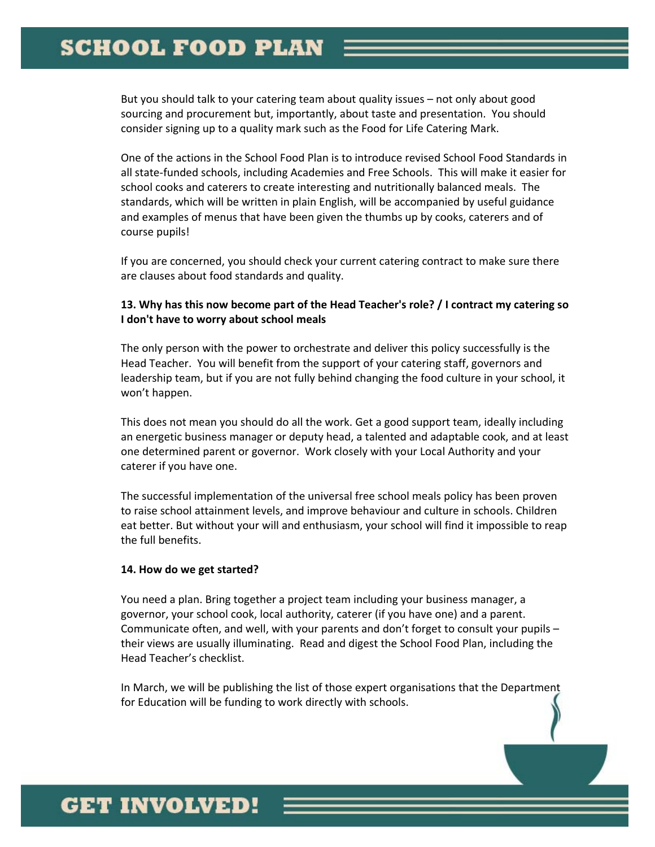But you should talk to your catering team about quality issues – not only about good sourcing and procurement but, importantly, about taste and presentation. You should consider signing up to a quality mark such as the Food for Life Catering Mark.

One of the actions in the School Food Plan is to introduce revised School Food Standards in all state‐funded schools, including Academies and Free Schools. This will make it easier for school cooks and caterers to create interesting and nutritionally balanced meals. The standards, which will be written in plain English, will be accompanied by useful guidance and examples of menus that have been given the thumbs up by cooks, caterers and of course pupils!

If you are concerned, you should check your current catering contract to make sure there are clauses about food standards and quality.

### **13. Why has this now become part of the Head Teacher's role? / I contract my catering so I don't have to worry about school meals**

The only person with the power to orchestrate and deliver this policy successfully is the Head Teacher. You will benefit from the support of your catering staff, governors and leadership team, but if you are not fully behind changing the food culture in your school, it won't happen.

This does not mean you should do all the work. Get a good support team, ideally including an energetic business manager or deputy head, a talented and adaptable cook, and at least one determined parent or governor. Work closely with your Local Authority and your caterer if you have one.

The successful implementation of the universal free school meals policy has been proven to raise school attainment levels, and improve behaviour and culture in schools. Children eat better. But without your will and enthusiasm, your school will find it impossible to reap the full benefits.

### **14. How do we get started?**

You need a plan. Bring together a project team including your business manager, a governor, your school cook, local authority, caterer (if you have one) and a parent. Communicate often, and well, with your parents and don't forget to consult your pupils – their views are usually illuminating. Read and digest the School Food Plan, including the Head Teacher's checklist.

In March, we will be publishing the list of those expert organisations that the Department for Education will be funding to work directly with schools.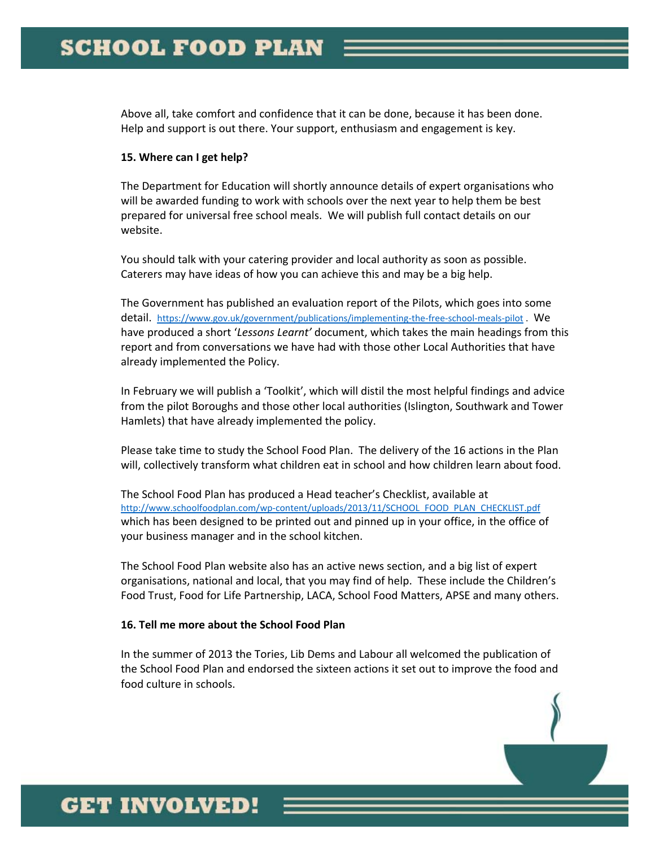Above all, take comfort and confidence that it can be done, because it has been done. Help and support is out there. Your support, enthusiasm and engagement is key.

#### **15. Where can I get help?**

The Department for Education will shortly announce details of expert organisations who will be awarded funding to work with schools over the next year to help them be best prepared for universal free school meals. We will publish full contact details on our website.

You should talk with your catering provider and local authority as soon as possible. Caterers may have ideas of how you can achieve this and may be a big help.

The Government has published an evaluation report of the Pilots, which goes into some detail. https://www.gov.uk/government/publications/implementing-the-free-school-meals-pilot . We have produced a short '*Lessons Learnt'* document, which takes the main headings from this report and from conversations we have had with those other Local Authorities that have already implemented the Policy.

In February we will publish a 'Toolkit', which will distil the most helpful findings and advice from the pilot Boroughs and those other local authorities (Islington, Southwark and Tower Hamlets) that have already implemented the policy.

Please take time to study the School Food Plan. The delivery of the 16 actions in the Plan will, collectively transform what children eat in school and how children learn about food.

The School Food Plan has produced a Head teacher's Checklist, available at http://www.schoolfoodplan.com/wp-content/uploads/2013/11/SCHOOL\_FOOD\_PLAN\_CHECKLIST.pdf which has been designed to be printed out and pinned up in your office, in the office of your business manager and in the school kitchen.

The School Food Plan website also has an active news section, and a big list of expert organisations, national and local, that you may find of help. These include the Children's Food Trust, Food for Life Partnership, LACA, School Food Matters, APSE and many others.

### **16. Tell me more about the School Food Plan**

In the summer of 2013 the Tories, Lib Dems and Labour all welcomed the publication of the School Food Plan and endorsed the sixteen actions it set out to improve the food and food culture in schools.